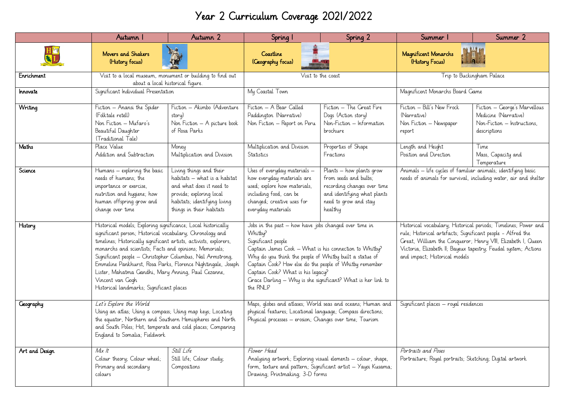## Year 2 Curriculum Coverage 2021/2022

|                  | Autumn I                                                                                                                                                                                                                                                                                                                                                                                                                                                                                                        | Autumn 2                                                                                                                                                                    | Spring I                                                                                                                                                                                                                                                                                                                                                                                | Spring 2                                                                                                                                                         | Summer I                                                                                                                                                                                                                                                                                           | Summer 2                                                                                             |
|------------------|-----------------------------------------------------------------------------------------------------------------------------------------------------------------------------------------------------------------------------------------------------------------------------------------------------------------------------------------------------------------------------------------------------------------------------------------------------------------------------------------------------------------|-----------------------------------------------------------------------------------------------------------------------------------------------------------------------------|-----------------------------------------------------------------------------------------------------------------------------------------------------------------------------------------------------------------------------------------------------------------------------------------------------------------------------------------------------------------------------------------|------------------------------------------------------------------------------------------------------------------------------------------------------------------|----------------------------------------------------------------------------------------------------------------------------------------------------------------------------------------------------------------------------------------------------------------------------------------------------|------------------------------------------------------------------------------------------------------|
|                  | Movers and Shakers<br>(History focus)                                                                                                                                                                                                                                                                                                                                                                                                                                                                           | WA                                                                                                                                                                          | Coastline<br>(Geography focus)                                                                                                                                                                                                                                                                                                                                                          |                                                                                                                                                                  | Magnificent Monarchs<br>(History Focus)                                                                                                                                                                                                                                                            |                                                                                                      |
| Enrichment       | Visit to a local museum, monument or building to find out<br>about a local historical figure.                                                                                                                                                                                                                                                                                                                                                                                                                   |                                                                                                                                                                             | Visit to the coast                                                                                                                                                                                                                                                                                                                                                                      |                                                                                                                                                                  | Trip to Buckingham Palace                                                                                                                                                                                                                                                                          |                                                                                                      |
| Innovate         | Significant Individual Presentation                                                                                                                                                                                                                                                                                                                                                                                                                                                                             |                                                                                                                                                                             | My Coastal Town                                                                                                                                                                                                                                                                                                                                                                         |                                                                                                                                                                  | Magnificent Monarchs Board Game                                                                                                                                                                                                                                                                    |                                                                                                      |
| Writing          | Fiction - Anansi the Spider<br>(Folktale retell)<br>Non Fiction - Mufaro's<br>Beautiful Daughter<br>(Traditional Tale)                                                                                                                                                                                                                                                                                                                                                                                          | Fiction - Akimbo (Adventure<br>story)<br>Non Fiction - A picture book<br>of Rosa Parks                                                                                      | Fiction - A Bear Called<br>Paddington (Narrative)<br>Non Fiction - Report on Peru                                                                                                                                                                                                                                                                                                       | Fiction - The Great Fire<br>Dogs (Action story)<br>Non-Fiction - Information<br>brochure                                                                         | Fiction - Bill's New Frock<br>(Narrative)<br>Non Fiction - Newspaper<br>report                                                                                                                                                                                                                     | Fiction - George's Marvellous<br>Medicine (Narrative)<br>Non-Fiction - Instructions,<br>descriptions |
| Maths            | Place Value<br>Addition and Subtraction                                                                                                                                                                                                                                                                                                                                                                                                                                                                         | Money<br>Multiplication and Division                                                                                                                                        | Multiplication and Division<br>Statistics                                                                                                                                                                                                                                                                                                                                               | Properties of Shape<br>Fractions                                                                                                                                 | Length and Height<br>Position and Direction                                                                                                                                                                                                                                                        | Time<br>Mass, Capacity and<br>Temperature                                                            |
| Science          | Humans – exploring the basic<br>needs of humans; the<br>importance or exercise,<br>nutrition and hygiene; how<br>human offspring grow and<br>change over time                                                                                                                                                                                                                                                                                                                                                   | Living things and their<br>habitats - what is a habitat<br>and what does it need to<br>provide; exploring local<br>habitats; identifying living<br>things in their habitats | Uses of everyday materials -<br>how everyday materials are<br>used; explore how materials,<br>including food, can be<br>changed; creative uses for<br>everyday materials                                                                                                                                                                                                                | $\overline{Plants}$ – how plants grow<br>from seeds and bulbs;<br>recording changes over time<br>and identifying what plants<br>need to grow and stay<br>healthy | Animals - life cycles of familiar animals; identifying basic<br>needs of animals for survival, including water, air and shelter                                                                                                                                                                    |                                                                                                      |
| History          | Historical models; Exploring significance; Local historically<br>significant person; Historical vocabulary; Chronology and<br>timelines; Historically significant artists, activists, explorers,<br>monarchs and scientists; Facts and opinions; Memorials;<br>Significant people - Christopher Columbus, Neil Armstrong,<br>Emmeline Pankhurst, Rosa Parks, Florence Nightingale, Joseph<br>Lister, Mahatma Gandhi, Mary Anning, Paul Cezanne,<br>Vincent van Gogh<br>Historical landmarks; Significant places |                                                                                                                                                                             | Jobs in the past - how have jobs changed over time in<br>Whitby?<br>Significant people<br>Captain James Cook - What is his connection to Whitby?<br>Why do you think the people of Whitby built a statue of<br>Captain Cook? How else do the people of Whitby remember<br>Captain Cook? What is his legacy?<br>Grace Darling - Why is she significant? What is her link to<br>the RNLI? |                                                                                                                                                                  | Historical vocabulary; Historical periods; Timelines; Power and<br>rule; Historical artefacts; Significant people - Alfred the<br>Great, William the Conqueror; Henry VIII, Elizabeth I, Queen<br>Victoria, Elizabeth II; Bayeux tapestry; Feudal system; Actions<br>and impact; Historical models |                                                                                                      |
| <b>Geography</b> | Let's Explore the World<br>Using an atlas; Using a compass; Using map keys; Locating<br>the equator, Northern and Southern Hemispheres and North<br>and South Poles; Hot, temperate and cold places; Comparing<br>England to Somalia; Fieldwork                                                                                                                                                                                                                                                                 |                                                                                                                                                                             | Maps, globes and atlases; World seas and oceans; Human and<br>physical features; Locational language; Compass directions;<br>Physical processes - erosion; Changes over time; Tourism                                                                                                                                                                                                   |                                                                                                                                                                  | Significant places - royal residences                                                                                                                                                                                                                                                              |                                                                                                      |
| Art and Design   | Mix It<br>Colour theory; Colour wheel;<br>Primary and secondary<br>colours                                                                                                                                                                                                                                                                                                                                                                                                                                      | Still Life<br>Still life; Colour study;<br>Compositions                                                                                                                     | Flower Head<br>Analysing artwork; Exploring visual elements - colour, shape,<br>form, texture and pattern; Significant artist - Yayoi Kusama;<br>Drawing; Printmaking; 3-D forms                                                                                                                                                                                                        |                                                                                                                                                                  | Portraits and Poses<br>Portraiture; Royal portraits; Sketching; Digital artwork                                                                                                                                                                                                                    |                                                                                                      |